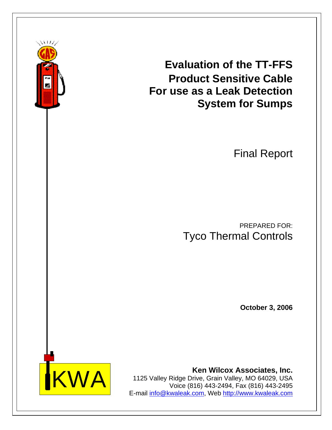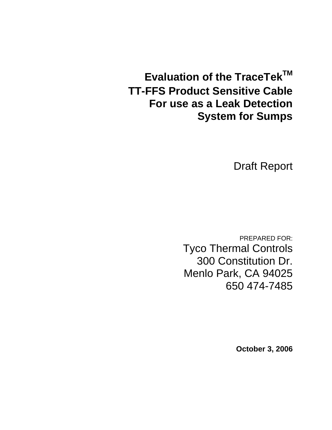**Evaluation of the TraceTek™ TT-FFS Product Sensitive Cable For use as a Leak Detection System for Sumps** 

Draft Report

PREPARED FOR: Tyco Thermal Controls 300 Constitution Dr. Menlo Park, CA 94025 650 474-7485

**October 3, 2006**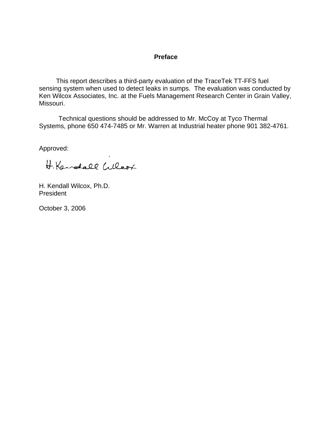#### **Preface**

This report describes a third-party evaluation of the TraceTek TT-FFS fuel sensing system when used to detect leaks in sumps. The evaluation was conducted by Ken Wilcox Associates, Inc. at the Fuels Management Research Center in Grain Valley, Missouri.

 Technical questions should be addressed to Mr. McCoy at Tyco Thermal Systems, phone 650 474-7485 or Mr. Warren at Industrial heater phone 901 382-4761.

Approved:

H.Kendall Wlerx

H. Kendall Wilcox, Ph.D. President

October 3, 2006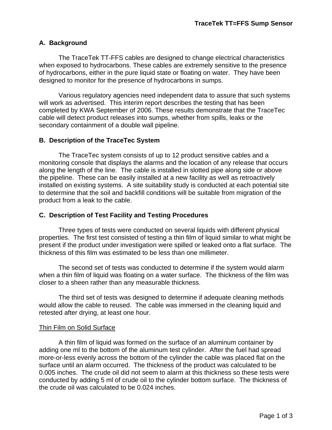## **A. Background**

 The TraceTek TT-FFS cables are designed to change electrical characteristics when exposed to hydrocarbons. These cables are extremely sensitive to the presence of hydrocarbons, either in the pure liquid state or floating on water. They have been designed to monitor for the presence of hydrocarbons in sumps.

 Various regulatory agencies need independent data to assure that such systems will work as advertised. This interim report describes the testing that has been completed by KWA September of 2006. These results demonstrate that the TraceTec cable will detect product releases into sumps, whether from spills, leaks or the secondary containment of a double wall pipeline.

### **B. Description of the TraceTec System**

 The TraceTec system consists of up to 12 product sensitive cables and a monitoring console that displays the alarms and the location of any release that occurs along the length of the line. The cable is installed in slotted pipe along side or above the pipeline. These can be easily installed at a new facility as well as retroactively installed on existing systems. A site suitability study is conducted at each potential site to determine that the soil and backfill conditions will be suitable from migration of the product from a leak to the cable.

### **C. Description of Test Facility and Testing Procedures**

 Three types of tests were conducted on several liquids with different physical properties. The first test consisted of testing a thin film of liquid similar to what might be present if the product under investigation were spilled or leaked onto a flat surface. The thickness of this film was estimated to be less than one millimeter.

 The second set of tests was conducted to determine if the system would alarm when a thin film of liquid was floating on a water surface. The thickness of the film was closer to a sheen rather than any measurable thickness.

 The third set of tests was designed to determine if adequate cleaning methods would allow the cable to reused. The cable was immersed in the cleaning liquid and retested after drying, at least one hour.

#### Thin Film on Solid Surface

 A thin film of liquid was formed on the surface of an aluminum container by adding one ml to the bottom of the aluminum test cylinder. After the fuel had spread more-or-less evenly across the bottom of the cylinder the cable was placed flat on the surface until an alarm occurred. The thickness of the product was calculated to be 0.005 inches. The crude oil did not seem to alarm at this thickness so these tests were conducted by adding 5 ml of crude oil to the cylinder bottom surface. The thickness of the crude oil was calculated to be 0.024 inches.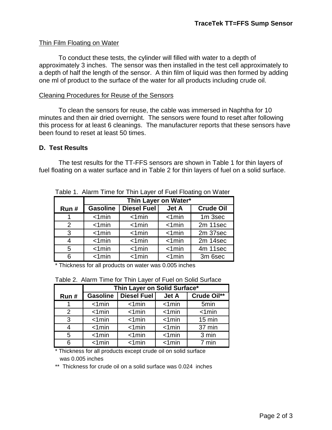### Thin Film Floating on Water

 To conduct these tests, the cylinder will filled with water to a depth of approximately 3 inches. The sensor was then installed in the test cell approximately to a depth of half the length of the sensor. A thin film of liquid was then formed by adding one ml of product to the surface of the water for all products including crude oil.

#### Cleaning Procedures for Reuse of the Sensors

To clean the sensors for reuse, the cable was immersed in Naphtha for 10 minutes and then air dried overnight. The sensors were found to reset after following this process for at least 6 cleanings. The manufacturer reports that these sensors have been found to reset at least 50 times.

### **D. Test Results**

 The test results for the TT-FFS sensors are shown in Table 1 for thin layers of fuel floating on a water surface and in Table 2 for thin layers of fuel on a solid surface.

|               | Thin Layer on Water*     |             |                       |                  |
|---------------|--------------------------|-------------|-----------------------|------------------|
| Run#          | <b>Gasoline</b>          | Diesel Fuel | Jet A                 | <b>Crude Oil</b> |
|               | $< 1$ min                | $< 1$ min   | $< 1$ min             | 1m 3sec          |
| $\mathcal{P}$ | $< 1$ min                | $< 1$ min   | $< 1$ min             | 2m 11sec         |
| 3             | $< 1$ min                | $< 1$ min   | $< 1$ min             | 2m 37sec         |
| 4             | $< 1$ min                | $< 1$ min   | $< 1$ min             | 2m 14sec         |
| 5             | $< 1$ min                | $< 1$ min   | $< 1$ min             | 4m 11sec         |
| 6             | $\overline{\text{1min}}$ | $< 1$ min   | $\overline{\text{M}}$ | 3m 6sec          |

Table 1. Alarm Time for Thin Layer of Fuel Floating on Water

\* Thickness for all products on water was 0.005 inches

|      | Thin Layer on Solid Surface* |                    |              |                  |
|------|------------------------------|--------------------|--------------|------------------|
| Run# | <b>Gasoline</b>              | <b>Diesel Fuel</b> | <b>Jet A</b> | Crude Oil**      |
|      | $< 1$ min                    | $< 1$ min          | $< 1$ min    | 5 <sub>min</sub> |
| 2    | $< 1$ min                    | $< 1$ min          | $< 1$ min    | $< 1$ min        |
| 3    | $< 1$ min                    | $< 1$ min          | $< 1$ min    | $15 \text{ min}$ |
| 4    | $< 1$ min                    | $< 1$ min          | $< 1$ min    | 37 min           |
| 5    | $< 1$ min                    | $< 1$ min          | $< 1$ min    | 3 min            |
| 6    | $< 1$ min                    | $< 1$ min          | $< 1$ min    | 7 min            |

Table 2. Alarm Time for Thin Layer of Fuel on Solid Surface

\* Thickness for all products except crude oil on solid surface was 0.005 inches

\*\* Thickness for crude oil on a solid surface was 0.024 inches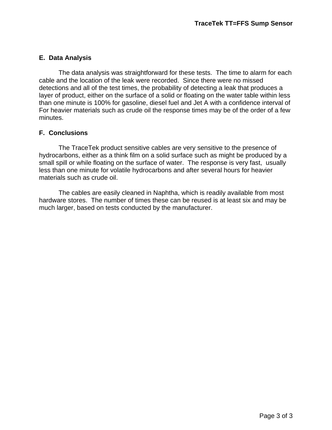# **E. Data Analysis**

 The data analysis was straightforward for these tests. The time to alarm for each cable and the location of the leak were recorded. Since there were no missed detections and all of the test times, the probability of detecting a leak that produces a layer of product, either on the surface of a solid or floating on the water table within less than one minute is 100% for gasoline, diesel fuel and Jet A with a confidence interval of For heavier materials such as crude oil the response times may be of the order of a few minutes.

# **F. Conclusions**

The TraceTek product sensitive cables are very sensitive to the presence of hydrocarbons, either as a think film on a solid surface such as might be produced by a small spill or while floating on the surface of water. The response is very fast, usually less than one minute for volatile hydrocarbons and after several hours for heavier materials such as crude oil.

The cables are easily cleaned in Naphtha, which is readily available from most hardware stores. The number of times these can be reused is at least six and may be much larger, based on tests conducted by the manufacturer.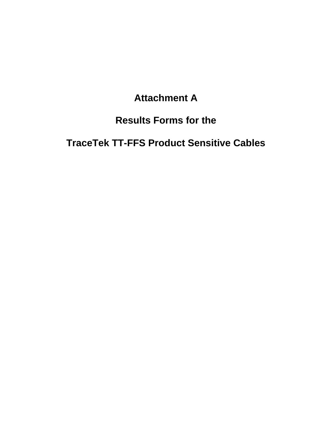# **Attachment A**

# **Results Forms for the**

# **TraceTek TT-FFS Product Sensitive Cables**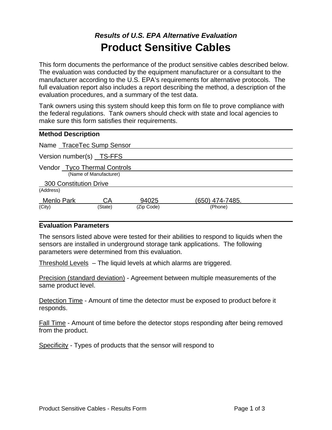# *Results of U.S. EPA Alternative Evaluation*  **Product Sensitive Cables**

This form documents the performance of the product sensitive cables described below. The evaluation was conducted by the equipment manufacturer or a consultant to the manufacturer according to the U.S. EPA's requirements for alternative protocols. The full evaluation report also includes a report describing the method, a description of the evaluation procedures, and a summary of the test data.

Tank owners using this system should keep this form on file to prove compliance with the federal regulations. Tank owners should check with state and local agencies to make sure this form satisfies their requirements.

| <b>Method Description</b>                              |            |                 |  |
|--------------------------------------------------------|------------|-----------------|--|
| Name TraceTec Sump Sensor                              |            |                 |  |
| Version number(s) TS-FFS                               |            |                 |  |
| Vendor Tyco Thermal Controls<br>(Name of Manufacturer) |            |                 |  |
| 300 Constitution Drive                                 |            |                 |  |
| (Address)                                              |            |                 |  |
| Menlo Park<br>CA                                       | 94025      | (650) 474-7485. |  |
| (City)<br>(State)                                      | (Zip Code) | (Phone)         |  |

#### **Evaluation Parameters**

The sensors listed above were tested for their abilities to respond to liquids when the sensors are installed in underground storage tank applications. The following parameters were determined from this evaluation.

Threshold Levels – The liquid levels at which alarms are triggered.

Precision (standard deviation) - Agreement between multiple measurements of the same product level.

Detection Time - Amount of time the detector must be exposed to product before it responds.

Fall Time - Amount of time before the detector stops responding after being removed from the product.

Specificity - Types of products that the sensor will respond to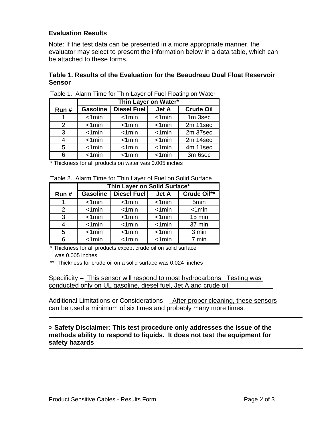## **Evaluation Results**

Note: If the test data can be presented in a more appropriate manner, the evaluator may select to present the information below in a data table, which can be attached to these forms.

### **Table 1. Results of the Evaluation for the Beaudreau Dual Float Reservoir Sensor**

|               | Thin Layer on Water*      |                    |                                    |                  |
|---------------|---------------------------|--------------------|------------------------------------|------------------|
| Run#          | <b>Gasoline</b>           | <b>Diesel Fuel</b> | <b>Jet A</b>                       | <b>Crude Oil</b> |
|               | $\overline{\text{21min}}$ | $< 1$ min          | $\overline{\text{4min}}$           | $1m$ 3sec        |
| $\mathcal{P}$ | < 1 min                   | $< 1$ min          | < 1 min                            | 2m 11sec         |
| 3             | $< 1$ min                 | $< 1$ min          | < 1 min                            | 2m 37sec         |
| 4             | $< 1$ min                 | $< 1$ min          | $< 1$ min                          | 2m 14sec         |
| 5             | < 1 min                   | $< 1$ min          | < 1 min                            | 4m 11sec         |
| 6             | $< 1$ min                 | $< 1$ min          | $< 1$ min                          | 3m 6sec          |
|               |                           |                    | $\sim$ $\sim$ $\sim$ $\sim$ $\sim$ |                  |

Table 1. Alarm Time for Thin Layer of Fuel Floating on Water

\* Thickness for all products on water was 0.005 inches

|      | Thin Layer on Solid Surface* |                    |              |                  |
|------|------------------------------|--------------------|--------------|------------------|
| Run# | <b>Gasoline</b>              | <b>Diesel Fuel</b> | <b>Jet A</b> | Crude Oil**      |
|      | $< 1$ min                    | $< 1$ min          | $< 1$ min    | 5 <sub>min</sub> |
| 2    | $< 1$ min                    | $< 1$ min          | $< 1$ min    | < 1 min          |
| 3    | $< 1$ min                    | $< 1$ min          | $< 1$ min    | 15 min           |
| 4    | $< 1$ min                    | $< 1$ min          | < 1 min      | 37 min           |
| 5    | $< 1$ min                    | $< 1$ min          | $< 1$ min    | 3 min            |
| Բ    | $< 1$ min                    | $< 1$ min          | $< 1$ min    | 7 min            |

\* Thickness for all products except crude oil on solid surface was 0.005 inches

\*\* Thickness for crude oil on a solid surface was 0.024 inches

Specificity – This sensor will respond to most hydrocarbons. Testing was conducted only on UL gasoline, diesel fuel, Jet A and crude oil.

Additional Limitations or Considerations - After proper cleaning, these sensors can be used a minimum of six times and probably many more times.

**> Safety Disclaimer: This test procedure only addresses the issue of the methods ability to respond to liquids. It does not test the equipment for safety hazards**